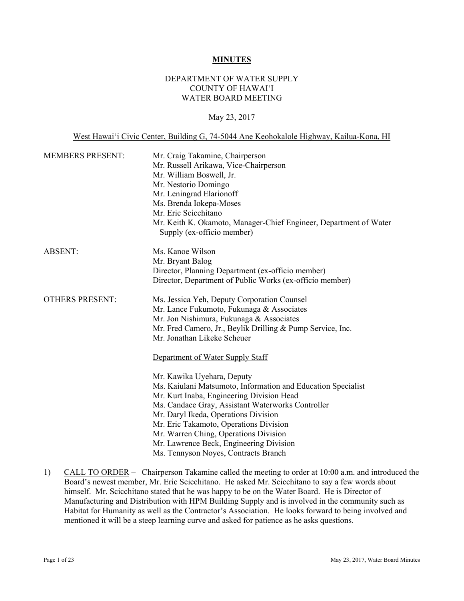### **MINUTES**

## DEPARTMENT OF WATER SUPPLY COUNTY OF HAWAI'I WATER BOARD MEETING

## May 23, 2017

West Hawai'i Civic Center, Building G, 74-5044 Ane Keohokalole Highway, Kailua-Kona, HI

| <b>MEMBERS PRESENT:</b> | Mr. Craig Takamine, Chairperson<br>Mr. Russell Arikawa, Vice-Chairperson<br>Mr. William Boswell, Jr.<br>Mr. Nestorio Domingo<br>Mr. Leningrad Elarionoff<br>Ms. Brenda Iokepa-Moses<br>Mr. Eric Scicchitano<br>Mr. Keith K. Okamoto, Manager-Chief Engineer, Department of Water<br>Supply (ex-officio member)                                                                                                                                 |
|-------------------------|------------------------------------------------------------------------------------------------------------------------------------------------------------------------------------------------------------------------------------------------------------------------------------------------------------------------------------------------------------------------------------------------------------------------------------------------|
| <b>ABSENT:</b>          | Ms. Kanoe Wilson<br>Mr. Bryant Balog<br>Director, Planning Department (ex-officio member)<br>Director, Department of Public Works (ex-officio member)                                                                                                                                                                                                                                                                                          |
| <b>OTHERS PRESENT:</b>  | Ms. Jessica Yeh, Deputy Corporation Counsel<br>Mr. Lance Fukumoto, Fukunaga & Associates<br>Mr. Jon Nishimura, Fukunaga & Associates<br>Mr. Fred Camero, Jr., Beylik Drilling & Pump Service, Inc.<br>Mr. Jonathan Likeke Scheuer                                                                                                                                                                                                              |
|                         | Department of Water Supply Staff<br>Mr. Kawika Uyehara, Deputy<br>Ms. Kaiulani Matsumoto, Information and Education Specialist<br>Mr. Kurt Inaba, Engineering Division Head<br>Ms. Candace Gray, Assistant Waterworks Controller<br>Mr. Daryl Ikeda, Operations Division<br>Mr. Eric Takamoto, Operations Division<br>Mr. Warren Ching, Operations Division<br>Mr. Lawrence Beck, Engineering Division<br>Ms. Tennyson Noyes, Contracts Branch |

1) CALL TO ORDER – Chairperson Takamine called the meeting to order at 10:00 a.m. and introduced the Board's newest member, Mr. Eric Scicchitano. He asked Mr. Scicchitano to say a few words about himself. Mr. Scicchitano stated that he was happy to be on the Water Board. He is Director of Manufacturing and Distribution with HPM Building Supply and is involved in the community such as Habitat for Humanity as well as the Contractor's Association. He looks forward to being involved and mentioned it will be a steep learning curve and asked for patience as he asks questions.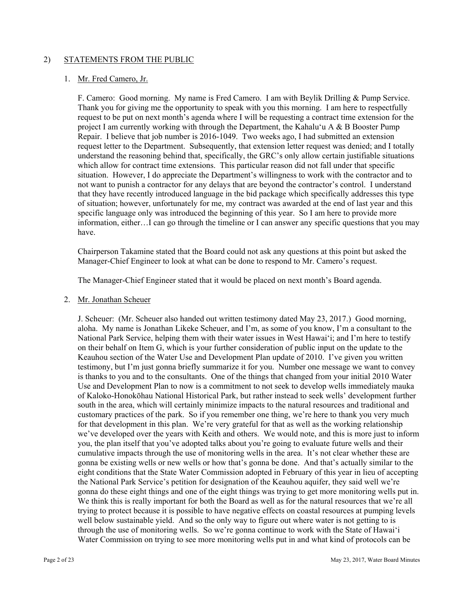## 2) STATEMENTS FROM THE PUBLIC

### 1. Mr. Fred Camero, Jr.

F. Camero: Good morning. My name is Fred Camero. I am with Beylik Drilling & Pump Service. Thank you for giving me the opportunity to speak with you this morning. I am here to respectfully request to be put on next month's agenda where I will be requesting a contract time extension for the project I am currently working with through the Department, the Kahalu'u A & B Booster Pump Repair. I believe that job number is 2016-1049. Two weeks ago, I had submitted an extension request letter to the Department. Subsequently, that extension letter request was denied; and I totally understand the reasoning behind that, specifically, the GRC's only allow certain justifiable situations which allow for contract time extensions. This particular reason did not fall under that specific situation. However, I do appreciate the Department's willingness to work with the contractor and to not want to punish a contractor for any delays that are beyond the contractor's control. I understand that they have recently introduced language in the bid package which specifically addresses this type of situation; however, unfortunately for me, my contract was awarded at the end of last year and this specific language only was introduced the beginning of this year. So I am here to provide more information, either…I can go through the timeline or I can answer any specific questions that you may have.

Chairperson Takamine stated that the Board could not ask any questions at this point but asked the Manager-Chief Engineer to look at what can be done to respond to Mr. Camero's request.

The Manager-Chief Engineer stated that it would be placed on next month's Board agenda.

### 2. Mr. Jonathan Scheuer

J. Scheuer: (Mr. Scheuer also handed out written testimony dated May 23, 2017.) Good morning, aloha. My name is Jonathan Likeke Scheuer, and I'm, as some of you know, I'm a consultant to the National Park Service, helping them with their water issues in West Hawai'i; and I'm here to testify on their behalf on Item G, which is your further consideration of public input on the update to the Keauhou section of the Water Use and Development Plan update of 2010. I've given you written testimony, but I'm just gonna briefly summarize it for you. Number one message we want to convey is thanks to you and to the consultants. One of the things that changed from your initial 2010 Water Use and Development Plan to now is a commitment to not seek to develop wells immediately mauka of Kaloko-Honokōhau National Historical Park, but rather instead to seek wells' development further south in the area, which will certainly minimize impacts to the natural resources and traditional and customary practices of the park. So if you remember one thing, we're here to thank you very much for that development in this plan. We're very grateful for that as well as the working relationship we've developed over the years with Keith and others. We would note, and this is more just to inform you, the plan itself that you've adopted talks about you're going to evaluate future wells and their cumulative impacts through the use of monitoring wells in the area. It's not clear whether these are gonna be existing wells or new wells or how that's gonna be done. And that's actually similar to the eight conditions that the State Water Commission adopted in February of this year in lieu of accepting the National Park Service's petition for designation of the Keauhou aquifer, they said well we're gonna do these eight things and one of the eight things was trying to get more monitoring wells put in. We think this is really important for both the Board as well as for the natural resources that we're all trying to protect because it is possible to have negative effects on coastal resources at pumping levels well below sustainable yield. And so the only way to figure out where water is not getting to is through the use of monitoring wells. So we're gonna continue to work with the State of Hawai'i Water Commission on trying to see more monitoring wells put in and what kind of protocols can be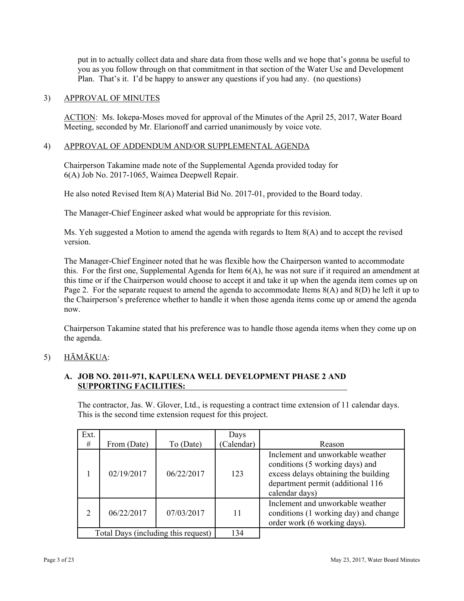put in to actually collect data and share data from those wells and we hope that's gonna be useful to you as you follow through on that commitment in that section of the Water Use and Development Plan. That's it. I'd be happy to answer any questions if you had any. (no questions)

# 3) APPROVAL OF MINUTES

 Meeting, seconded by Mr. Elarionoff and carried unanimously by voice vote. ACTION: Ms. Iokepa-Moses moved for approval of the Minutes of the April 25, 2017, Water Board

## 4) APPROVAL OF ADDENDUM AND/OR SUPPLEMENTAL AGENDA

Chairperson Takamine made note of the Supplemental Agenda provided today for 6(A) Job No. 2017-1065, Waimea Deepwell Repair.

He also noted Revised Item  $8(A)$  Material Bid No. 2017-01, provided to the Board today.

The Manager-Chief Engineer asked what would be appropriate for this revision.

Ms. Yeh suggested a Motion to amend the agenda with regards to Item 8(A) and to accept the revised version.

The Manager-Chief Engineer noted that he was flexible how the Chairperson wanted to accommodate this. For the first one, Supplemental Agenda for Item 6(A), he was not sure if it required an amendment at this time or if the Chairperson would choose to accept it and take it up when the agenda item comes up on Page 2. For the separate request to amend the agenda to accommodate Items 8(A) and 8(D) he left it up to the Chairperson's preference whether to handle it when those agenda items come up or amend the agenda now.

Chairperson Takamine stated that his preference was to handle those agenda items when they come up on the agenda.

# 5) HĀMĀKUA:

# **A. JOB NO. 2011-971, KAPULENA WELL DEVELOPMENT PHASE 2 AND SUPPORTING FACILITIES:**

The contractor, Jas. W. Glover, Ltd., is requesting a contract time extension of 11 calendar days. This is the second time extension request for this project.

| Ext.           |                                     |            | Days       |                                                                                                                                                                    |
|----------------|-------------------------------------|------------|------------|--------------------------------------------------------------------------------------------------------------------------------------------------------------------|
| #              | From (Date)                         | To (Date)  | (Calendar) | Reason                                                                                                                                                             |
| 1              | 02/19/2017                          | 06/22/2017 | 123        | Inclement and unworkable weather<br>conditions (5 working days) and<br>excess delays obtaining the building<br>department permit (additional 116<br>calendar days) |
| $\overline{2}$ | 06/22/2017                          | 07/03/2017 | 11         | Inclement and unworkable weather<br>conditions (1 working day) and change<br>order work (6 working days).                                                          |
|                | Total Days (including this request) |            | 134        |                                                                                                                                                                    |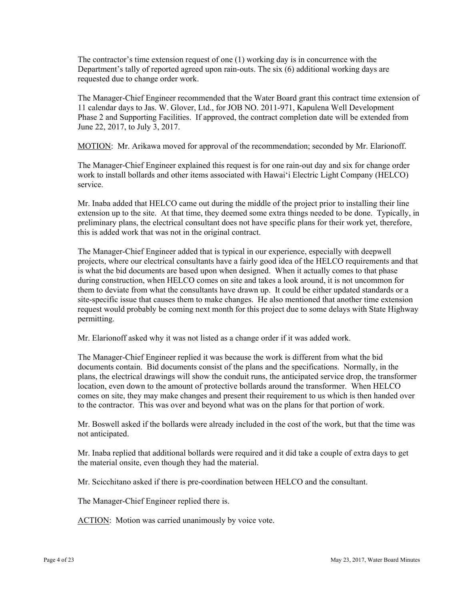The contractor's time extension request of one (1) working day is in concurrence with the Department's tally of reported agreed upon rain-outs. The six (6) additional working days are requested due to change order work.

The Manager-Chief Engineer recommended that the Water Board grant this contract time extension of 11 calendar days to Jas. W. Glover, Ltd., for JOB NO. 2011-971, Kapulena Well Development Phase 2 and Supporting Facilities. If approved, the contract completion date will be extended from June 22, 2017, to July 3, 2017.

MOTION: Mr. Arikawa moved for approval of the recommendation; seconded by Mr. Elarionoff.

The Manager-Chief Engineer explained this request is for one rain-out day and six for change order work to install bollards and other items associated with Hawai'i Electric Light Company (HELCO) service.

Mr. Inaba added that HELCO came out during the middle of the project prior to installing their line extension up to the site. At that time, they deemed some extra things needed to be done. Typically, in preliminary plans, the electrical consultant does not have specific plans for their work yet, therefore, this is added work that was not in the original contract.

The Manager-Chief Engineer added that is typical in our experience, especially with deepwell projects, where our electrical consultants have a fairly good idea of the HELCO requirements and that is what the bid documents are based upon when designed. When it actually comes to that phase during construction, when HELCO comes on site and takes a look around, it is not uncommon for them to deviate from what the consultants have drawn up. It could be either updated standards or a site-specific issue that causes them to make changes. He also mentioned that another time extension request would probably be coming next month for this project due to some delays with State Highway permitting.

Mr. Elarionoff asked why it was not listed as a change order if it was added work.

The Manager-Chief Engineer replied it was because the work is different from what the bid documents contain. Bid documents consist of the plans and the specifications. Normally, in the plans, the electrical drawings will show the conduit runs, the anticipated service drop, the transformer location, even down to the amount of protective bollards around the transformer. When HELCO comes on site, they may make changes and present their requirement to us which is then handed over to the contractor. This was over and beyond what was on the plans for that portion of work.

Mr. Boswell asked if the bollards were already included in the cost of the work, but that the time was not anticipated.

Mr. Inaba replied that additional bollards were required and it did take a couple of extra days to get the material onsite, even though they had the material.

Mr. Scicchitano asked if there is pre-coordination between HELCO and the consultant.

The Manager-Chief Engineer replied there is.

ACTION: Motion was carried unanimously by voice vote.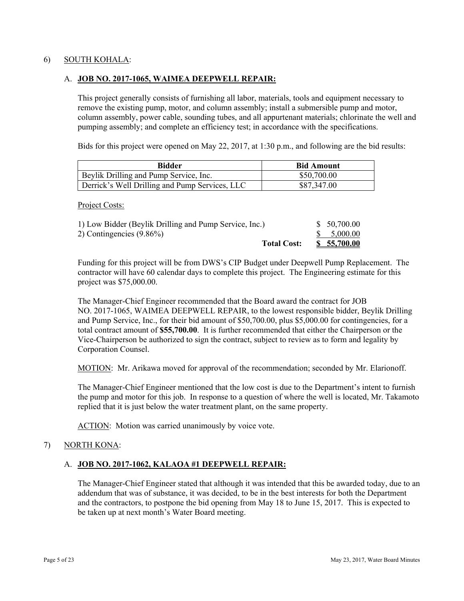## 6) SOUTH KOHALA:

## A. **JOB NO. 2017-1065, WAIMEA DEEPWELL REPAIR:**

This project generally consists of furnishing all labor, materials, tools and equipment necessary to remove the existing pump, motor, and column assembly; install a submersible pump and motor, column assembly, power cable, sounding tubes, and all appurtenant materials; chlorinate the well and pumping assembly; and complete an efficiency test; in accordance with the specifications.

Bids for this project were opened on May 22, 2017, at 1:30 p.m., and following are the bid results:

| Bidder                                         | <b>Bid Amount</b> |
|------------------------------------------------|-------------------|
| Beylik Drilling and Pump Service, Inc.         | \$50,700.00       |
| Derrick's Well Drilling and Pump Services, LLC | \$87,347.00       |

Project Costs:

| 1) Low Bidder (Beylik Drilling and Pump Service, Inc.) | \$50,700.00 |
|--------------------------------------------------------|-------------|
| 2) Contingencies $(9.86\%)$                            | \$5,000.00  |
| <b>Total Cost:</b>                                     | \$5,5700.00 |

Funding for this project will be from DWS's CIP Budget under Deepwell Pump Replacement. The contractor will have 60 calendar days to complete this project. The Engineering estimate for this project was \$75,000.00.

 Vice-Chairperson be authorized to sign the contract, subject to review as to form and legality by The Manager-Chief Engineer recommended that the Board award the contract for JOB NO. 2017-1065, WAIMEA DEEPWELL REPAIR, to the lowest responsible bidder, Beylik Drilling and Pump Service, Inc., for their bid amount of \$50,700.00, plus \$5,000.00 for contingencies, for a total contract amount of **\$55,700.00**. It is further recommended that either the Chairperson or the Corporation Counsel.

MOTION: Mr. Arikawa moved for approval of the recommendation; seconded by Mr. Elarionoff.

The Manager-Chief Engineer mentioned that the low cost is due to the Department's intent to furnish the pump and motor for this job. In response to a question of where the well is located, Mr. Takamoto replied that it is just below the water treatment plant, on the same property.

ACTION: Motion was carried unanimously by voice vote.

## 7) NORTH KONA:

### A. **JOB NO. 2017-1062, KALAOA #1 DEEPWELL REPAIR:**

The Manager-Chief Engineer stated that although it was intended that this be awarded today, due to an addendum that was of substance, it was decided, to be in the best interests for both the Department and the contractors, to postpone the bid opening from May 18 to June 15, 2017. This is expected to be taken up at next month's Water Board meeting.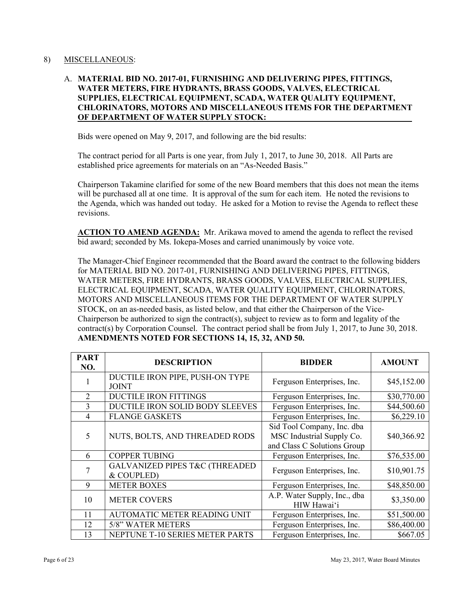### 8) MISCELLANEOUS:

# A. **MATERIAL BID NO. 2017-01, FURNISHING AND DELIVERING PIPES, FITTINGS, WATER METERS, FIRE HYDRANTS, BRASS GOODS, VALVES, ELECTRICAL SUPPLIES, ELECTRICAL EQUIPMENT, SCADA, WATER QUALITY EQUIPMENT, CHLORINATORS, MOTORS AND MISCELLANEOUS ITEMS FOR THE DEPARTMENT OF DEPARTMENT OF WATER SUPPLY STOCK:**

Bids were opened on May 9, 2017, and following are the bid results:

The contract period for all Parts is one year, from July 1, 2017, to June 30, 2018. All Parts are established price agreements for materials on an "As-Needed Basis."

Chairperson Takamine clarified for some of the new Board members that this does not mean the items will be purchased all at one time. It is approval of the sum for each item. He noted the revisions to the Agenda, which was handed out today. He asked for a Motion to revise the Agenda to reflect these revisions.

 **ACTION TO AMEND AGENDA:** Mr. Arikawa moved to amend the agenda to reflect the revised bid award; seconded by Ms. Iokepa-Moses and carried unanimously by voice vote.

The Manager-Chief Engineer recommended that the Board award the contract to the following bidders for MATERIAL BID NO. 2017-01, FURNISHING AND DELIVERING PIPES, FITTINGS, WATER METERS, FIRE HYDRANTS, BRASS GOODS, VALVES, ELECTRICAL SUPPLIES, ELECTRICAL EQUIPMENT, SCADA, WATER QUALITY EQUIPMENT, CHLORINATORS, MOTORS AND MISCELLANEOUS ITEMS FOR THE DEPARTMENT OF WATER SUPPLY STOCK, on an as-needed basis, as listed below, and that either the Chairperson of the Vice-Chairperson be authorized to sign the contract(s), subject to review as to form and legality of the contract(s) by Corporation Counsel. The contract period shall be from July 1, 2017, to June 30, 2018. **AMENDMENTS NOTED FOR SECTIONS 14, 15, 32, AND 50.** 

| <b>PART</b><br>NO. | <b>DESCRIPTION</b>                                       | <b>BIDDER</b>                                                                          | <b>AMOUNT</b> |
|--------------------|----------------------------------------------------------|----------------------------------------------------------------------------------------|---------------|
|                    | DUCTILE IRON PIPE, PUSH-ON TYPE<br><b>JOINT</b>          | Ferguson Enterprises, Inc.                                                             | \$45,152.00   |
| 2                  | <b>DUCTILE IRON FITTINGS</b>                             | Ferguson Enterprises, Inc.                                                             | \$30,770.00   |
| 3                  | DUCTILE IRON SOLID BODY SLEEVES                          | Ferguson Enterprises, Inc.                                                             | \$44,500.60   |
| 4                  | <b>FLANGE GASKETS</b>                                    | Ferguson Enterprises, Inc.                                                             | \$6,229.10    |
| 5                  | NUTS, BOLTS, AND THREADED RODS                           | Sid Tool Company, Inc. dba<br>MSC Industrial Supply Co.<br>and Class C Solutions Group | \$40,366.92   |
| 6                  | <b>COPPER TUBING</b>                                     | Ferguson Enterprises, Inc.                                                             | \$76,535.00   |
| 7                  | <b>GALVANIZED PIPES T&amp;C (THREADED)</b><br>& COUPLED) | Ferguson Enterprises, Inc.                                                             | \$10,901.75   |
| 9                  | <b>METER BOXES</b>                                       | Ferguson Enterprises, Inc.                                                             | \$48,850.00   |
| 10                 | <b>METER COVERS</b>                                      | A.P. Water Supply, Inc., dba<br>HIW Hawai'i                                            | \$3,350.00    |
| 11                 | <b>AUTOMATIC METER READING UNIT</b>                      | Ferguson Enterprises, Inc.                                                             | \$51,500.00   |
| 12                 | 5/8" WATER METERS                                        | Ferguson Enterprises, Inc.                                                             | \$86,400.00   |
| 13                 | NEPTUNE T-10 SERIES METER PARTS                          | Ferguson Enterprises, Inc.                                                             | \$667.05      |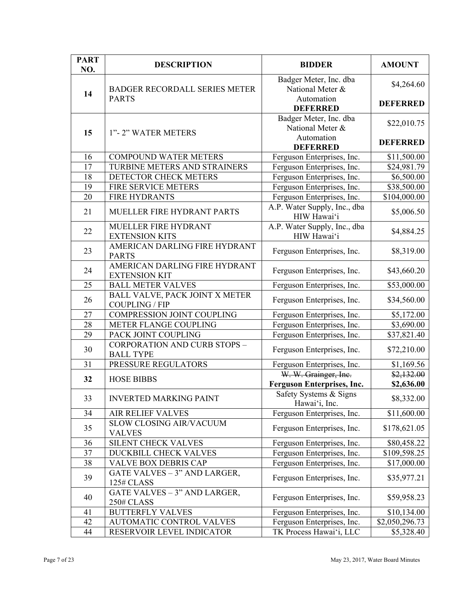| <b>PART</b><br>NO. | <b>DESCRIPTION</b>                                      | <b>BIDDER</b>                               | <b>AMOUNT</b>           |
|--------------------|---------------------------------------------------------|---------------------------------------------|-------------------------|
| 14                 | <b>BADGER RECORDALL SERIES METER</b>                    | Badger Meter, Inc. dba<br>National Meter &  | \$4,264.60              |
|                    | <b>PARTS</b>                                            | Automation<br><b>DEFERRED</b>               | <b>DEFERRED</b>         |
| 15                 | 1"-2" WATER METERS                                      | Badger Meter, Inc. dba<br>National Meter &  | \$22,010.75             |
|                    |                                                         | Automation<br><b>DEFERRED</b>               | <b>DEFERRED</b>         |
| 16                 | <b>COMPOUND WATER METERS</b>                            | Ferguson Enterprises, Inc.                  | \$11,500.00             |
| 17                 | TURBINE METERS AND STRAINERS                            | Ferguson Enterprises, Inc.                  | \$24,981.79             |
| 18                 | DETECTOR CHECK METERS                                   | Ferguson Enterprises, Inc.                  | \$6,500.00              |
| 19                 | FIRE SERVICE METERS                                     | Ferguson Enterprises, Inc.                  | \$38,500.00             |
| 20                 | <b>FIRE HYDRANTS</b>                                    | Ferguson Enterprises, Inc.                  | \$104,000.00            |
| 21                 | MUELLER FIRE HYDRANT PARTS                              | A.P. Water Supply, Inc., dba<br>HIW Hawai'i | \$5,006.50              |
| 22                 | MUELLER FIRE HYDRANT<br><b>EXTENSION KITS</b>           | A.P. Water Supply, Inc., dba<br>HIW Hawai'i | \$4,884.25              |
| 23                 | AMERICAN DARLING FIRE HYDRANT<br><b>PARTS</b>           | Ferguson Enterprises, Inc.                  | \$8,319.00              |
| 24                 | AMERICAN DARLING FIRE HYDRANT<br><b>EXTENSION KIT</b>   | Ferguson Enterprises, Inc.                  | \$43,660.20             |
| 25                 | <b>BALL METER VALVES</b>                                | Ferguson Enterprises, Inc.                  | \$53,000.00             |
| 26                 | BALL VALVE, PACK JOINT X METER<br><b>COUPLING / FIP</b> | Ferguson Enterprises, Inc.                  | \$34,560.00             |
| 27                 | COMPRESSION JOINT COUPLING                              | Ferguson Enterprises, Inc.                  | \$5,172.00              |
| 28                 | METER FLANGE COUPLING                                   | Ferguson Enterprises, Inc.                  | \$3,690.00              |
| 29                 | PACK JOINT COUPLING                                     | Ferguson Enterprises, Inc.                  | $\overline{$}37,821.40$ |
| 30                 | <b>CORPORATION AND CURB STOPS -</b><br><b>BALL TYPE</b> | Ferguson Enterprises, Inc.                  | \$72,210.00             |
| 31                 | PRESSURE REGULATORS                                     | Ferguson Enterprises, Inc.                  | \$1,169.56              |
| 32                 | <b>HOSE BIBBS</b>                                       | W. W. Grainger, Inc.                        | \$2,132.00              |
|                    |                                                         | <b>Ferguson Enterprises, Inc.</b>           | \$2,636.00              |
| 33                 | <b>INVERTED MARKING PAINT</b>                           | Safety Systems & Signs<br>Hawai'i, Inc.     | \$8,332.00              |
| 34                 | <b>AIR RELIEF VALVES</b>                                | Ferguson Enterprises, Inc.                  | \$11,600.00             |
| 35                 | <b>SLOW CLOSING AIR/VACUUM</b><br><b>VALVES</b>         | Ferguson Enterprises, Inc.                  | \$178,621.05            |
| 36                 | SILENT CHECK VALVES                                     | Ferguson Enterprises, Inc.                  | \$80,458.22             |
| 37                 | DUCKBILL CHECK VALVES                                   | Ferguson Enterprises, Inc.                  | \$109,598.25            |
| 38                 | VALVE BOX DEBRIS CAP                                    | Ferguson Enterprises, Inc.                  | \$17,000.00             |
| 39                 | GATE VALVES - 3" AND LARGER,<br><b>125# CLASS</b>       | Ferguson Enterprises, Inc.                  | \$35,977.21             |
| 40                 | GATE VALVES - 3" AND LARGER,<br><b>250# CLASS</b>       | Ferguson Enterprises, Inc.                  | \$59,958.23             |
| 41                 | <b>BUTTERFLY VALVES</b>                                 | Ferguson Enterprises, Inc.                  | \$10,134.00             |
| 42                 | AUTOMATIC CONTROL VALVES                                | Ferguson Enterprises, Inc.                  | \$2,050,296.73          |
| 44                 | RESERVOIR LEVEL INDICATOR                               | TK Process Hawai'i, LLC                     | \$5,328.40              |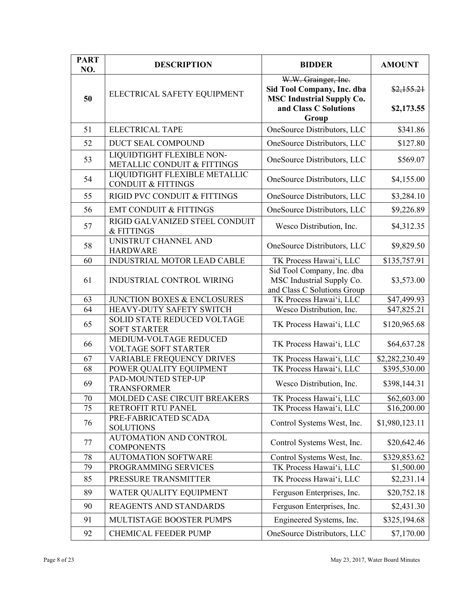| <b>PART</b><br>NO. | <b>DESCRIPTION</b>                                             | <b>BIDDER</b>                                                                          | <b>AMOUNT</b>  |
|--------------------|----------------------------------------------------------------|----------------------------------------------------------------------------------------|----------------|
| 50                 | ELECTRICAL SAFETY EQUIPMENT                                    | W.W. Grainger, Inc.<br>Sid Tool Company, Inc. dba<br><b>MSC Industrial Supply Co.</b>  | \$2,155.21     |
|                    |                                                                | and Class C Solutions<br>Group                                                         | \$2,173.55     |
| 51                 | <b>ELECTRICAL TAPE</b>                                         | OneSource Distributors, LLC                                                            | \$341.86       |
| 52                 | DUCT SEAL COMPOUND                                             | OneSource Distributors, LLC                                                            | \$127.80       |
| 53                 | LIQUIDTIGHT FLEXIBLE NON-<br>METALLIC CONDUIT & FITTINGS       | OneSource Distributors, LLC                                                            | \$569.07       |
| 54                 | LIQUIDTIGHT FLEXIBLE METALLIC<br><b>CONDUIT &amp; FITTINGS</b> | OneSource Distributors, LLC                                                            | \$4,155.00     |
| 55                 | RIGID PVC CONDUIT & FITTINGS                                   | OneSource Distributors, LLC                                                            | \$3,284.10     |
| 56                 | <b>EMT CONDUIT &amp; FITTINGS</b>                              | OneSource Distributors, LLC                                                            | \$9,226.89     |
| 57                 | RIGID GALVANIZED STEEL CONDUIT<br>& FITTINGS                   | Wesco Distribution, Inc.                                                               | \$4,312.35     |
| 58                 | UNISTRUT CHANNEL AND<br><b>HARDWARE</b>                        | OneSource Distributors, LLC                                                            | \$9,829.50     |
| 60                 | INDUSTRIAL MOTOR LEAD CABLE                                    | TK Process Hawai'i, LLC                                                                | \$135,757.91   |
| 61                 | <b>INDUSTRIAL CONTROL WIRING</b>                               | Sid Tool Company, Inc. dba<br>MSC Industrial Supply Co.<br>and Class C Solutions Group | \$3,573.00     |
| 63                 | JUNCTION BOXES & ENCLOSURES                                    | TK Process Hawai'i, LLC                                                                | \$47,499.93    |
| 64                 | HEAVY-DUTY SAFETY SWITCH                                       | Wesco Distribution, Inc.                                                               | \$47,825.21    |
| 65                 | <b>SOLID STATE REDUCED VOLTAGE</b><br><b>SOFT STARTER</b>      | TK Process Hawai'i, LLC                                                                | \$120,965.68   |
| 66                 | MEDIUM-VOLTAGE REDUCED<br><b>VOLTAGE SOFT STARTER</b>          | TK Process Hawai'i, LLC                                                                | \$64,637.28    |
| 67                 | <b>VARIABLE FREQUENCY DRIVES</b>                               | TK Process Hawai'i, LLC                                                                | \$2,282,230.49 |
| 68                 | POWER QUALITY EQUIPMENT                                        | TK Process Hawai'i, LLC                                                                | \$395,530.00   |
| 69                 | PAD-MOUNTED STEP-UP<br><b>TRANSFORMER</b>                      | Wesco Distribution, Inc.                                                               | \$398,144.31   |
| 70                 | MOLDED CASE CIRCUIT BREAKERS                                   | TK Process Hawai'i, LLC                                                                | \$62,603.00    |
| 75                 | RETROFIT RTU PANEL                                             | TK Process Hawai'i, LLC                                                                | \$16,200.00    |
| 76                 | PRE-FABRICATED SCADA<br><b>SOLUTIONS</b>                       | Control Systems West, Inc.                                                             | \$1,980,123.11 |
| 77                 | AUTOMATION AND CONTROL<br><b>COMPONENTS</b>                    | Control Systems West, Inc.                                                             | \$20,642.46    |
| 78                 | <b>AUTOMATION SOFTWARE</b>                                     | Control Systems West, Inc.                                                             | \$329,853.62   |
| 79                 | PROGRAMMING SERVICES                                           | TK Process Hawai'i, LLC                                                                | \$1,500.00     |
| 85                 | PRESSURE TRANSMITTER                                           | TK Process Hawai'i, LLC                                                                | \$2,231.14     |
| 89                 | WATER QUALITY EQUIPMENT                                        | Ferguson Enterprises, Inc.                                                             | \$20,752.18    |
| 90                 | REAGENTS AND STANDARDS                                         | Ferguson Enterprises, Inc.                                                             | \$2,431.30     |
| 91                 | MULTISTAGE BOOSTER PUMPS                                       | Engineered Systems, Inc.                                                               | \$325,194.68   |
| 92                 | CHEMICAL FEEDER PUMP                                           | OneSource Distributors, LLC                                                            | \$7,170.00     |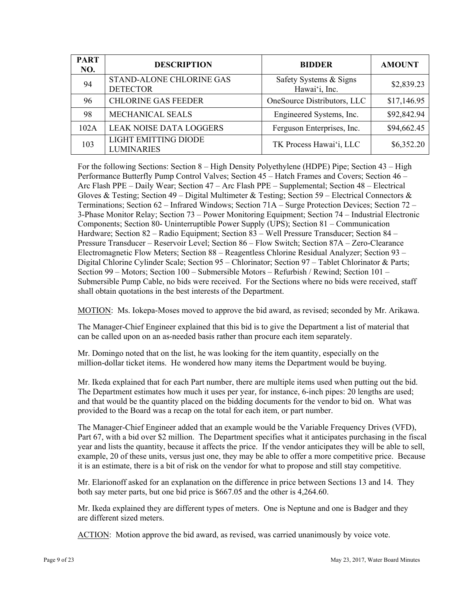| <b>PART</b><br>NO. | <b>DESCRIPTION</b>                               | <b>BIDDER</b>                           | <b>AMOUNT</b> |
|--------------------|--------------------------------------------------|-----------------------------------------|---------------|
| 94                 | STAND-ALONE CHLORINE GAS<br><b>DETECTOR</b>      | Safety Systems & Signs<br>Hawai'i, Inc. | \$2,839.23    |
| 96                 | <b>CHLORINE GAS FEEDER</b>                       | OneSource Distributors, LLC             | \$17,146.95   |
| 98                 | MECHANICAL SEALS                                 | Engineered Systems, Inc.                | \$92,842.94   |
| 102A               | <b>LEAK NOISE DATA LOGGERS</b>                   | Ferguson Enterprises, Inc.              | \$94,662.45   |
| 103                | <b>LIGHT EMITTING DIODE</b><br><b>LUMINARIES</b> | TK Process Hawai'i, LLC                 | \$6,352.20    |

For the following Sections: Section 8 – High Density Polyethylene (HDPE) Pipe; Section 43 – High Performance Butterfly Pump Control Valves; Section 45 – Hatch Frames and Covers; Section 46 – Arc Flash PPE – Daily Wear; Section 47 – Arc Flash PPE – Supplemental; Section 48 – Electrical Gloves & Testing; Section 49 – Digital Multimeter & Testing; Section 59 – Electrical Connectors & Terminations; Section 62 – Infrared Windows; Section 71A – Surge Protection Devices; Section 72 – 3-Phase Monitor Relay; Section 73 – Power Monitoring Equipment; Section 74 – Industrial Electronic Components; Section 80- Uninterruptible Power Supply (UPS); Section 81 – Communication Hardware; Section 82 – Radio Equipment; Section 83 – Well Pressure Transducer; Section 84 – Pressure Transducer – Reservoir Level; Section 86 – Flow Switch; Section 87A – Zero-Clearance Electromagnetic Flow Meters; Section 88 – Reagentless Chlorine Residual Analyzer; Section 93 – Digital Chlorine Cylinder Scale; Section 95 – Chlorinator; Section 97 – Tablet Chlorinator & Parts; Section 99 – Motors; Section 100 – Submersible Motors – Refurbish / Rewind; Section 101 – Submersible Pump Cable, no bids were received. For the Sections where no bids were received, staff shall obtain quotations in the best interests of the Department.

MOTION: Ms. Iokepa-Moses moved to approve the bid award, as revised; seconded by Mr. Arikawa.

The Manager-Chief Engineer explained that this bid is to give the Department a list of material that can be called upon on an as-needed basis rather than procure each item separately.

Mr. Domingo noted that on the list, he was looking for the item quantity, especially on the million-dollar ticket items. He wondered how many items the Department would be buying.

Mr. Ikeda explained that for each Part number, there are multiple items used when putting out the bid. The Department estimates how much it uses per year, for instance, 6-inch pipes: 20 lengths are used; and that would be the quantity placed on the bidding documents for the vendor to bid on. What was provided to the Board was a recap on the total for each item, or part number.

The Manager-Chief Engineer added that an example would be the Variable Frequency Drives (VFD), Part 67, with a bid over \$2 million. The Department specifies what it anticipates purchasing in the fiscal year and lists the quantity, because it affects the price. If the vendor anticipates they will be able to sell, example, 20 of these units, versus just one, they may be able to offer a more competitive price. Because it is an estimate, there is a bit of risk on the vendor for what to propose and still stay competitive.

Mr. Elarionoff asked for an explanation on the difference in price between Sections 13 and 14. They both say meter parts, but one bid price is \$667.05 and the other is 4,264.60.

Mr. Ikeda explained they are different types of meters. One is Neptune and one is Badger and they are different sized meters.

ACTION: Motion approve the bid award, as revised, was carried unanimously by voice vote.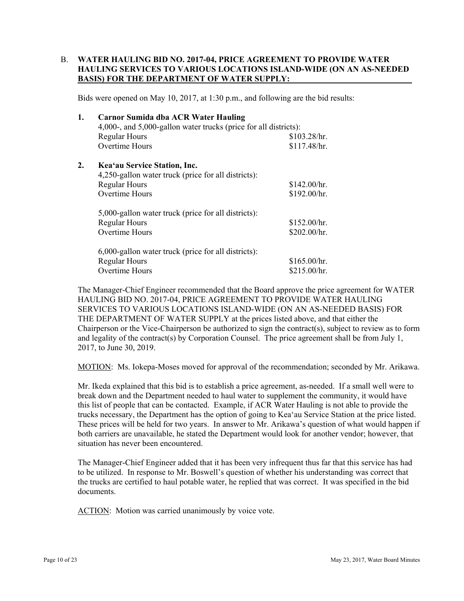## B. **WATER HAULING BID NO. 2017-04, PRICE AGREEMENT TO PROVIDE WATER HAULING SERVICES TO VARIOUS LOCATIONS ISLAND-WIDE (ON AN AS-NEEDED BASIS) FOR THE DEPARTMENT OF WATER SUPPLY:**

Bids were opened on May 10, 2017, at 1:30 p.m., and following are the bid results:

| 1. | <b>Carnor Sumida dba ACR Water Hauling</b><br>4,000-, and 5,000-gallon water trucks (price for all districts): |              |  |  |
|----|----------------------------------------------------------------------------------------------------------------|--------------|--|--|
|    | <b>Regular Hours</b>                                                                                           | \$103.28/hr. |  |  |
|    | <b>Overtime Hours</b>                                                                                          | \$117.48/hr. |  |  |
| 2. | Kea'au Service Station, Inc.                                                                                   |              |  |  |
|    | 4,250-gallon water truck (price for all districts):                                                            |              |  |  |
|    | <b>Regular Hours</b>                                                                                           | \$142.00/hr. |  |  |
|    | <b>Overtime Hours</b>                                                                                          | \$192.00/hr. |  |  |
|    | 5,000-gallon water truck (price for all districts):                                                            |              |  |  |
|    | <b>Regular Hours</b>                                                                                           | \$152.00/hr. |  |  |
|    | Overtime Hours                                                                                                 | \$202.00/hr. |  |  |
|    | 6,000-gallon water truck (price for all districts):                                                            |              |  |  |
|    | <b>Regular Hours</b>                                                                                           | \$165.00/hr. |  |  |
|    | Overtime Hours                                                                                                 | \$215.00/hr. |  |  |

The Manager-Chief Engineer recommended that the Board approve the price agreement for WATER HAULING BID NO. 2017-04, PRICE AGREEMENT TO PROVIDE WATER HAULING SERVICES TO VARIOUS LOCATIONS ISLAND-WIDE (ON AN AS-NEEDED BASIS) FOR THE DEPARTMENT OF WATER SUPPLY at the prices listed above, and that either the Chairperson or the Vice-Chairperson be authorized to sign the contract(s), subject to review as to form and legality of the contract(s) by Corporation Counsel. The price agreement shall be from July 1, 2017, to June 30, 2019.

MOTION: Ms. Iokepa-Moses moved for approval of the recommendation; seconded by Mr. Arikawa.

Mr. Ikeda explained that this bid is to establish a price agreement, as-needed. If a small well were to break down and the Department needed to haul water to supplement the community, it would have this list of people that can be contacted. Example, if ACR Water Hauling is not able to provide the trucks necessary, the Department has the option of going to Kea'au Service Station at the price listed. These prices will be held for two years. In answer to Mr. Arikawa's question of what would happen if both carriers are unavailable, he stated the Department would look for another vendor; however, that situation has never been encountered.

The Manager-Chief Engineer added that it has been very infrequent thus far that this service has had to be utilized. In response to Mr. Boswell's question of whether his understanding was correct that the trucks are certified to haul potable water, he replied that was correct. It was specified in the bid documents.

ACTION: Motion was carried unanimously by voice vote.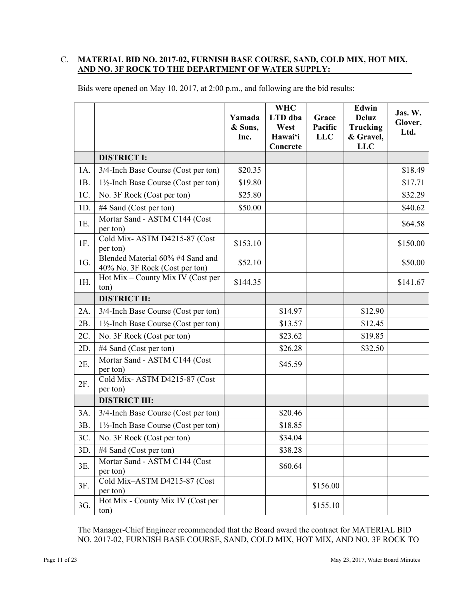# C. **MATERIAL BID NO. 2017-02, FURNISH BASE COURSE, SAND, COLD MIX, HOT MIX, AND NO. 3F ROCK TO THE DEPARTMENT OF WATER SUPPLY:**

|     |                                                                    | Yamada<br>& Sons,<br>Inc. | <b>WHC</b><br>LTD dba<br>West<br>Hawai'i<br>Concrete | Grace<br>Pacific<br><b>LLC</b> | Edwin<br><b>Deluz</b><br><b>Trucking</b><br>& Gravel,<br><b>LLC</b> | Jas. W.<br>Glover,<br>Ltd. |
|-----|--------------------------------------------------------------------|---------------------------|------------------------------------------------------|--------------------------------|---------------------------------------------------------------------|----------------------------|
|     | <b>DISTRICT I:</b>                                                 |                           |                                                      |                                |                                                                     |                            |
| 1A. | 3/4-Inch Base Course (Cost per ton)                                | \$20.35                   |                                                      |                                |                                                                     | \$18.49                    |
| 1B. | $1\frac{1}{2}$ -Inch Base Course (Cost per ton)                    | \$19.80                   |                                                      |                                |                                                                     | \$17.71                    |
| 1C. | No. 3F Rock (Cost per ton)                                         | \$25.80                   |                                                      |                                |                                                                     | \$32.29                    |
| 1D. | #4 Sand (Cost per ton)                                             | \$50.00                   |                                                      |                                |                                                                     | \$40.62                    |
| 1E. | Mortar Sand - ASTM C144 (Cost<br>per ton)                          |                           |                                                      |                                |                                                                     | \$64.58                    |
| 1F. | Cold Mix-ASTM D4215-87 (Cost<br>per ton)                           | \$153.10                  |                                                      |                                |                                                                     | \$150.00                   |
| 1G. | Blended Material 60% #4 Sand and<br>40% No. 3F Rock (Cost per ton) | \$52.10                   |                                                      |                                |                                                                     | \$50.00                    |
| 1H. | Hot Mix – County Mix IV (Cost per<br>ton)                          | \$144.35                  |                                                      |                                |                                                                     | \$141.67                   |
|     | <b>DISTRICT II:</b>                                                |                           |                                                      |                                |                                                                     |                            |
| 2A. | 3/4-Inch Base Course (Cost per ton)                                |                           | \$14.97                                              |                                | \$12.90                                                             |                            |
| 2B. | 1½-Inch Base Course (Cost per ton)                                 |                           | \$13.57                                              |                                | \$12.45                                                             |                            |
| 2C. | No. 3F Rock (Cost per ton)                                         |                           | \$23.62                                              |                                | \$19.85                                                             |                            |
| 2D. | #4 Sand (Cost per ton)                                             |                           | \$26.28                                              |                                | \$32.50                                                             |                            |
| 2E. | Mortar Sand - ASTM C144 (Cost<br>per ton)                          |                           | \$45.59                                              |                                |                                                                     |                            |
| 2F. | Cold Mix-ASTM D4215-87 (Cost<br>per ton)                           |                           |                                                      |                                |                                                                     |                            |
|     | <b>DISTRICT III:</b>                                               |                           |                                                      |                                |                                                                     |                            |
| 3A. | 3/4-Inch Base Course (Cost per ton)                                |                           | \$20.46                                              |                                |                                                                     |                            |
| 3B. | $1\frac{1}{2}$ -Inch Base Course (Cost per ton)                    |                           | \$18.85                                              |                                |                                                                     |                            |
| 3C. | No. 3F Rock (Cost per ton)                                         |                           | \$34.04                                              |                                |                                                                     |                            |
| 3D. | #4 Sand (Cost per ton)                                             |                           | \$38.28                                              |                                |                                                                     |                            |
| 3E. | Mortar Sand - ASTM C144 (Cost<br>per ton)                          |                           | \$60.64                                              |                                |                                                                     |                            |
| 3F. | Cold Mix-ASTM D4215-87 (Cost<br>per ton)                           |                           |                                                      | \$156.00                       |                                                                     |                            |
| 3G. | Hot Mix - County Mix IV (Cost per<br>ton)                          |                           |                                                      | \$155.10                       |                                                                     |                            |

Bids were opened on May 10, 2017, at 2:00 p.m., and following are the bid results:

The Manager-Chief Engineer recommended that the Board award the contract for MATERIAL BID NO. 2017-02, FURNISH BASE COURSE, SAND, COLD MIX, HOT MIX, AND NO. 3F ROCK TO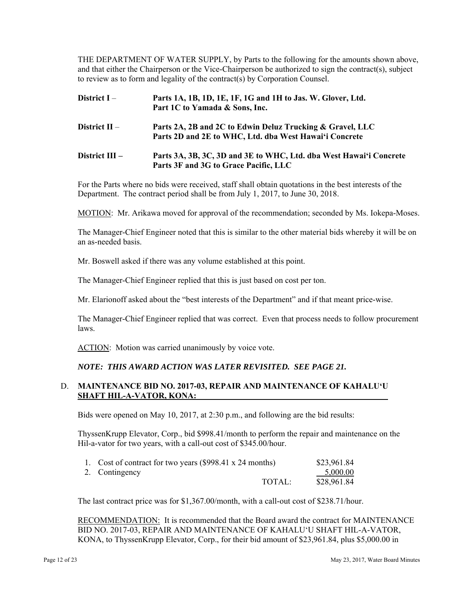THE DEPARTMENT OF WATER SUPPLY, by Parts to the following for the amounts shown above, and that either the Chairperson or the Vice-Chairperson be authorized to sign the contract(s), subject to review as to form and legality of the contract(s) by Corporation Counsel.

# **District I** – **Parts 1A, 1B, 1D, 1E, 1F, 1G and 1H to Jas. W. Glover, Ltd. Part 1C to Yamada & Sons, Inc.**

# **District II** – **Parts 2A, 2B and 2C to Edwin Deluz Trucking & Gravel, LLC Parts 2D and 2E to WHC, Ltd. dba West Hawai'i Concrete**

#### **District III -**Parts 3A, 3B, 3C, 3D and 3E to WHC, Ltd. dba West Hawai'i Concrete **Parts 3F and 3G to Grace Pacific, LLC**

For the Parts where no bids were received, staff shall obtain quotations in the best interests of the Department. The contract period shall be from July 1, 2017, to June 30, 2018.

MOTION: Mr. Arikawa moved for approval of the recommendation; seconded by Ms. Iokepa-Moses.

The Manager-Chief Engineer noted that this is similar to the other material bids whereby it will be on an as-needed basis.

Mr. Boswell asked if there was any volume established at this point.

The Manager-Chief Engineer replied that this is just based on cost per ton.

Mr. Elarionoff asked about the "best interests of the Department" and if that meant price-wise.

The Manager-Chief Engineer replied that was correct. Even that process needs to follow procurement laws.

ACTION: Motion was carried unanimously by voice vote.

### *NOTE: THIS AWARD ACTION WAS LATER REVISITED. SEE PAGE 21.*

### D. **MAINTENANCE BID NO. 2017-03, REPAIR AND MAINTENANCE OF KAHALUʻU SHAFT HIL-A-VATOR, KONA:**

Bids were opened on May 10, 2017, at 2:30 p.m., and following are the bid results:

ThyssenKrupp Elevator, Corp., bid \$998.41/month to perform the repair and maintenance on the Hil-a-vator for two years, with a call-out cost of \$345.00/hour.

| 1. Cost of contract for two years (\$998.41 x 24 months) |        | \$23,961.84  |
|----------------------------------------------------------|--------|--------------|
| 2. Contingency                                           |        | $-.5,000.00$ |
|                                                          | TOTAL: | \$28,961.84  |

The last contract price was for \$1,367.00/month, with a call-out cost of \$238.71/hour.

RECOMMENDATION: It is recommended that the Board award the contract for MAINTENANCE BID NO. 2017-03, REPAIR AND MAINTENANCE OF KAHALU'U SHAFT HIL-A-VATOR, KONA, to ThyssenKrupp Elevator, Corp., for their bid amount of \$23,961.84, plus \$5,000.00 in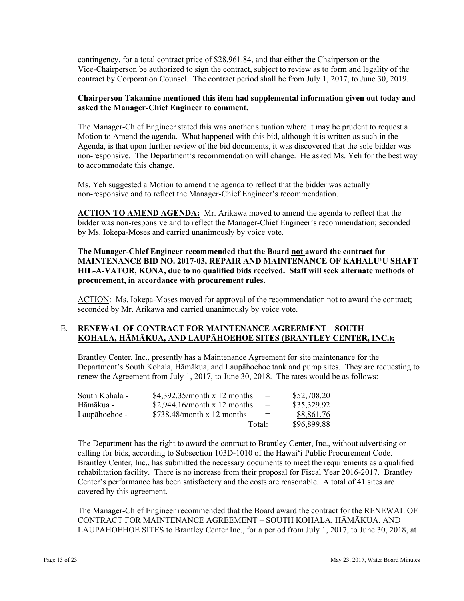contingency, for a total contract price of \$28,961.84, and that either the Chairperson or the Vice-Chairperson be authorized to sign the contract, subject to review as to form and legality of the contract by Corporation Counsel. The contract period shall be from July 1, 2017, to June 30, 2019.

## **Chairperson Takamine mentioned this item had supplemental information given out today and asked the Manager-Chief Engineer to comment.**

The Manager-Chief Engineer stated this was another situation where it may be prudent to request a Motion to Amend the agenda. What happened with this bid, although it is written as such in the Agenda, is that upon further review of the bid documents, it was discovered that the sole bidder was non-responsive. The Department's recommendation will change. He asked Ms. Yeh for the best way to accommodate this change.

Ms. Yeh suggested a Motion to amend the agenda to reflect that the bidder was actually non-responsive and to reflect the Manager-Chief Engineer's recommendation.

 **ACTION TO AMEND AGENDA:** Mr. Arikawa moved to amend the agenda to reflect that the bidder was non-responsive and to reflect the Manager-Chief Engineer's recommendation; seconded by Ms. Iokepa-Moses and carried unanimously by voice vote.

# **The Manager-Chief Engineer recommended that the Board not award the contract for MAINTENANCE BID NO. 2017-03, REPAIR AND MAINTENANCE OF KAHALU'U SHAFT HIL-A-VATOR, KONA, due to no qualified bids received. Staff will seek alternate methods of procurement, in accordance with procurement rules.**

ACTION: Ms. Iokepa-Moses moved for approval of the recommendation not to award the contract; seconded by Mr. Arikawa and carried unanimously by voice vote.

## E. **RENEWAL OF CONTRACT FOR MAINTENANCE AGREEMENT – SOUTH KOHALA, HĀMĀKUA, AND LAUPĀHOEHOE SITES (BRANTLEY CENTER, INC.):**

Brantley Center, Inc., presently has a Maintenance Agreement for site maintenance for the Department's South Kohala, Hāmākua, and Laupāhoehoe tank and pump sites. They are requesting to renew the Agreement from July 1, 2017, to June 30, 2018. The rates would be as follows:

| South Kohala - | \$4,392.35/month x 12 months | $=$    | \$52,708.20 |
|----------------|------------------------------|--------|-------------|
| Hāmākua -      | \$2,944.16/month x 12 months | $=$    | \$35,329.92 |
| Laupāhoehoe -  | \$738.48/month x 12 months   | $=$    | \$8,861.76  |
|                |                              | Total: | \$96,899.88 |

The Department has the right to award the contract to Brantley Center, Inc., without advertising or calling for bids, according to Subsection 103D-1010 of the Hawai'i Public Procurement Code. Brantley Center, Inc., has submitted the necessary documents to meet the requirements as a qualified rehabilitation facility. There is no increase from their proposal for Fiscal Year 2016-2017. Brantley Center's performance has been satisfactory and the costs are reasonable. A total of 41 sites are covered by this agreement.

The Manager-Chief Engineer recommended that the Board award the contract for the RENEWAL OF CONTRACT FOR MAINTENANCE AGREEMENT – SOUTH KOHALA, HĀMĀKUA, AND LAUPĀHOEHOE SITES to Brantley Center Inc., for a period from July 1, 2017, to June 30, 2018, at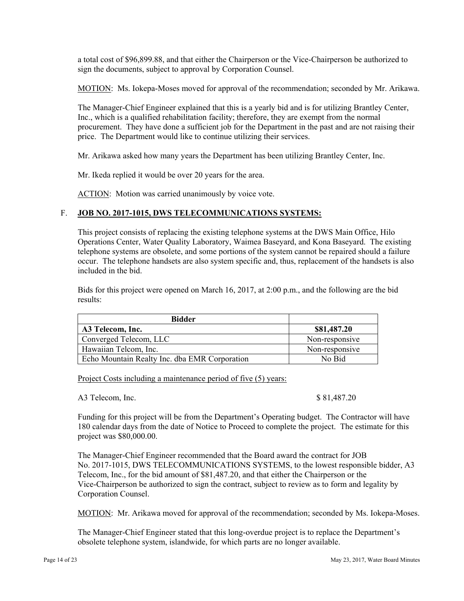a total cost of \$96,899.88, and that either the Chairperson or the Vice-Chairperson be authorized to sign the documents, subject to approval by Corporation Counsel.

MOTION: Ms. Iokepa-Moses moved for approval of the recommendation; seconded by Mr. Arikawa.

The Manager-Chief Engineer explained that this is a yearly bid and is for utilizing Brantley Center, Inc., which is a qualified rehabilitation facility; therefore, they are exempt from the normal procurement. They have done a sufficient job for the Department in the past and are not raising their price. The Department would like to continue utilizing their services.

Mr. Arikawa asked how many years the Department has been utilizing Brantley Center, Inc.

Mr. Ikeda replied it would be over 20 years for the area.

ACTION: Motion was carried unanimously by voice vote.

## F. **JOB NO. 2017-1015, DWS TELECOMMUNICATIONS SYSTEMS:**

This project consists of replacing the existing telephone systems at the DWS Main Office, Hilo Operations Center, Water Quality Laboratory, Waimea Baseyard, and Kona Baseyard. The existing telephone systems are obsolete, and some portions of the system cannot be repaired should a failure occur. The telephone handsets are also system specific and, thus, replacement of the handsets is also included in the bid.

Bids for this project were opened on March 16, 2017, at 2:00 p.m., and the following are the bid results:

| <b>Bidder</b>                                 |                |
|-----------------------------------------------|----------------|
| A3 Telecom, Inc.                              | \$81,487.20    |
| Converged Telecom, LLC                        | Non-responsive |
| Hawaiian Telcom, Inc.                         | Non-responsive |
| Echo Mountain Realty Inc. dba EMR Corporation | No Bid         |

Project Costs including a maintenance period of five (5) years:

A3 Telecom, Inc. \$ 81,487.20

Funding for this project will be from the Department's Operating budget. The Contractor will have 180 calendar days from the date of Notice to Proceed to complete the project. The estimate for this project was \$80,000.00.

 Vice-Chairperson be authorized to sign the contract, subject to review as to form and legality by The Manager-Chief Engineer recommended that the Board award the contract for JOB No. 2017-1015, DWS TELECOMMUNICATIONS SYSTEMS, to the lowest responsible bidder, A3 Telecom, Inc., for the bid amount of \$81,487.20, and that either the Chairperson or the Corporation Counsel.

MOTION: Mr. Arikawa moved for approval of the recommendation; seconded by Ms. Iokepa-Moses.

The Manager-Chief Engineer stated that this long-overdue project is to replace the Department's obsolete telephone system, islandwide, for which parts are no longer available.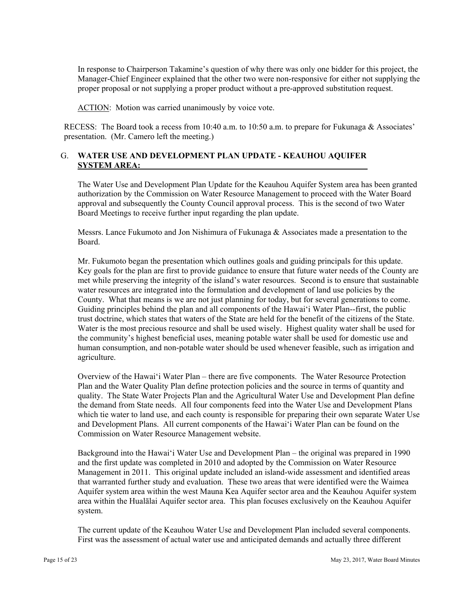In response to Chairperson Takamine's question of why there was only one bidder for this project, the Manager-Chief Engineer explained that the other two were non-responsive for either not supplying the proper proposal or not supplying a proper product without a pre-approved substitution request.

ACTION: Motion was carried unanimously by voice vote.

RECESS: The Board took a recess from 10:40 a.m. to 10:50 a.m. to prepare for Fukunaga & Associates' presentation. (Mr. Camero left the meeting.)

# G. **WATER USE AND DEVELOPMENT PLAN UPDATE - KEAUHOU AQUIFER SYSTEM AREA:**

The Water Use and Development Plan Update for the Keauhou Aquifer System area has been granted authorization by the Commission on Water Resource Management to proceed with the Water Board approval and subsequently the County Council approval process. This is the second of two Water Board Meetings to receive further input regarding the plan update.

Messrs. Lance Fukumoto and Jon Nishimura of Fukunaga & Associates made a presentation to the Board.

Mr. Fukumoto began the presentation which outlines goals and guiding principals for this update. Key goals for the plan are first to provide guidance to ensure that future water needs of the County are met while preserving the integrity of the island's water resources. Second is to ensure that sustainable water resources are integrated into the formulation and development of land use policies by the County. What that means is we are not just planning for today, but for several generations to come. Guiding principles behind the plan and all components of the Hawai'i Water Plan--first, the public trust doctrine, which states that waters of the State are held for the benefit of the citizens of the State. Water is the most precious resource and shall be used wisely. Highest quality water shall be used for the community's highest beneficial uses, meaning potable water shall be used for domestic use and human consumption, and non-potable water should be used whenever feasible, such as irrigation and agriculture.

Overview of the Hawai'i Water Plan – there are five components. The Water Resource Protection Plan and the Water Quality Plan define protection policies and the source in terms of quantity and quality. The State Water Projects Plan and the Agricultural Water Use and Development Plan define the demand from State needs. All four components feed into the Water Use and Development Plans which tie water to land use, and each county is responsible for preparing their own separate Water Use and Development Plans. All current components of the Hawai'i Water Plan can be found on the Commission on Water Resource Management website.

Background into the Hawai'i Water Use and Development Plan – the original was prepared in 1990 and the first update was completed in 2010 and adopted by the Commission on Water Resource Management in 2011. This original update included an island-wide assessment and identified areas that warranted further study and evaluation. These two areas that were identified were the Waimea Aquifer system area within the west Mauna Kea Aquifer sector area and the Keauhou Aquifer system area within the Hualālai Aquifer sector area. This plan focuses exclusively on the Keauhou Aquifer system.

The current update of the Keauhou Water Use and Development Plan included several components. First was the assessment of actual water use and anticipated demands and actually three different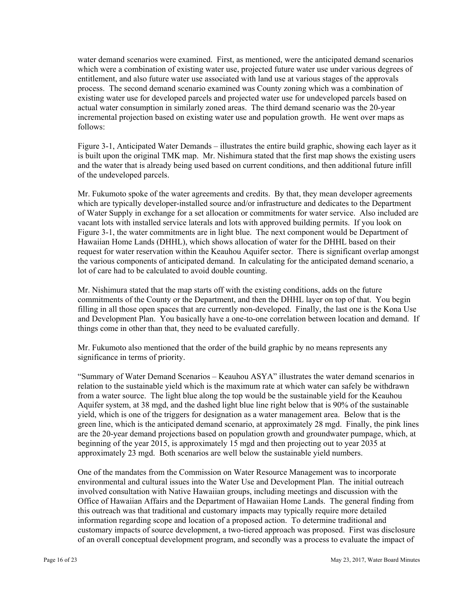water demand scenarios were examined. First, as mentioned, were the anticipated demand scenarios which were a combination of existing water use, projected future water use under various degrees of entitlement, and also future water use associated with land use at various stages of the approvals process. The second demand scenario examined was County zoning which was a combination of existing water use for developed parcels and projected water use for undeveloped parcels based on actual water consumption in similarly zoned areas. The third demand scenario was the 20-year incremental projection based on existing water use and population growth. He went over maps as follows:

Figure 3-1, Anticipated Water Demands – illustrates the entire build graphic, showing each layer as it is built upon the original TMK map. Mr. Nishimura stated that the first map shows the existing users and the water that is already being used based on current conditions, and then additional future infill of the undeveloped parcels.

Mr. Fukumoto spoke of the water agreements and credits. By that, they mean developer agreements which are typically developer-installed source and/or infrastructure and dedicates to the Department of Water Supply in exchange for a set allocation or commitments for water service. Also included are vacant lots with installed service laterals and lots with approved building permits. If you look on Figure 3-1, the water commitments are in light blue. The next component would be Department of Hawaiian Home Lands (DHHL), which shows allocation of water for the DHHL based on their request for water reservation within the Keauhou Aquifer sector. There is significant overlap amongst the various components of anticipated demand. In calculating for the anticipated demand scenario, a lot of care had to be calculated to avoid double counting.

Mr. Nishimura stated that the map starts off with the existing conditions, adds on the future commitments of the County or the Department, and then the DHHL layer on top of that. You begin filling in all those open spaces that are currently non-developed. Finally, the last one is the Kona Use and Development Plan. You basically have a one-to-one correlation between location and demand. If things come in other than that, they need to be evaluated carefully.

Mr. Fukumoto also mentioned that the order of the build graphic by no means represents any significance in terms of priority.

"Summary of Water Demand Scenarios – Keauhou ASYA" illustrates the water demand scenarios in relation to the sustainable yield which is the maximum rate at which water can safely be withdrawn from a water source. The light blue along the top would be the sustainable yield for the Keauhou Aquifer system, at 38 mgd, and the dashed light blue line right below that is 90% of the sustainable yield, which is one of the triggers for designation as a water management area. Below that is the green line, which is the anticipated demand scenario, at approximately 28 mgd. Finally, the pink lines are the 20-year demand projections based on population growth and groundwater pumpage, which, at beginning of the year 2015, is approximately 15 mgd and then projecting out to year 2035 at approximately 23 mgd. Both scenarios are well below the sustainable yield numbers.

One of the mandates from the Commission on Water Resource Management was to incorporate environmental and cultural issues into the Water Use and Development Plan. The initial outreach involved consultation with Native Hawaiian groups, including meetings and discussion with the Office of Hawaiian Affairs and the Department of Hawaiian Home Lands. The general finding from this outreach was that traditional and customary impacts may typically require more detailed information regarding scope and location of a proposed action. To determine traditional and customary impacts of source development, a two-tiered approach was proposed. First was disclosure of an overall conceptual development program, and secondly was a process to evaluate the impact of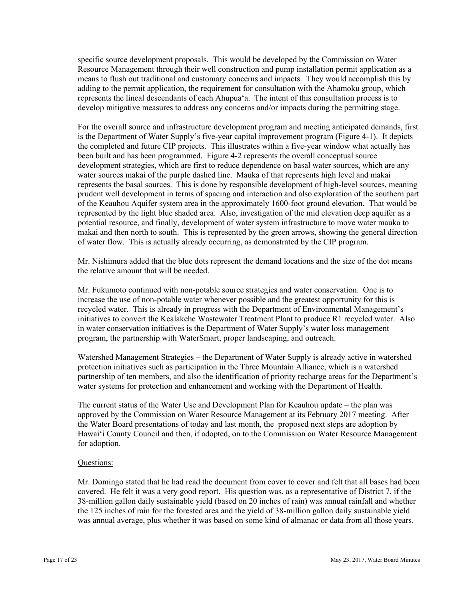specific source development proposals. This would be developed by the Commission on Water Resource Management through their well construction and pump installation permit application as a means to flush out traditional and customary concerns and impacts. They would accomplish this by adding to the permit application, the requirement for consultation with the Ahamoku group, which represents the lineal descendants of each Ahupua'a. The intent of this consultation process is to develop mitigative measures to address any concerns and/or impacts during the permitting stage.

For the overall source and infrastructure development program and meeting anticipated demands, first is the Department of Water Supply's five-year capital improvement program (Figure 4-1). It depicts the completed and future CIP projects. This illustrates within a five-year window what actually has been built and has been programmed. Figure 4-2 represents the overall conceptual source development strategies, which are first to reduce dependence on basal water sources, which are any water sources makai of the purple dashed line. Mauka of that represents high level and makai represents the basal sources. This is done by responsible development of high-level sources, meaning prudent well development in terms of spacing and interaction and also exploration of the southern part of the Keauhou Aquifer system area in the approximately 1600-foot ground elevation. That would be represented by the light blue shaded area. Also, investigation of the mid elevation deep aquifer as a potential resource, and finally, development of water system infrastructure to move water mauka to makai and then north to south. This is represented by the green arrows, showing the general direction of water flow. This is actually already occurring, as demonstrated by the CIP program.

Mr. Nishimura added that the blue dots represent the demand locations and the size of the dot means the relative amount that will be needed.

Mr. Fukumoto continued with non-potable source strategies and water conservation. One is to increase the use of non-potable water whenever possible and the greatest opportunity for this is recycled water. This is already in progress with the Department of Environmental Management's initiatives to convert the Kealakehe Wastewater Treatment Plant to produce R1 recycled water. Also in water conservation initiatives is the Department of Water Supply's water loss management program, the partnership with WaterSmart, proper landscaping, and outreach.

Watershed Management Strategies – the Department of Water Supply is already active in watershed protection initiatives such as participation in the Three Mountain Alliance, which is a watershed partnership of ten members, and also the identification of priority recharge areas for the Department's water systems for protection and enhancement and working with the Department of Health.

The current status of the Water Use and Development Plan for Keauhou update – the plan was approved by the Commission on Water Resource Management at its February 2017 meeting. After the Water Board presentations of today and last month, the proposed next steps are adoption by Hawai'i County Council and then, if adopted, on to the Commission on Water Resource Management for adoption.

## Questions:

Mr. Domingo stated that he had read the document from cover to cover and felt that all bases had been covered. He felt it was a very good report. His question was, as a representative of District 7, if the 38-million gallon daily sustainable yield (based on 20 inches of rain) was annual rainfall and whether the 125 inches of rain for the forested area and the yield of 38-million gallon daily sustainable yield was annual average, plus whether it was based on some kind of almanac or data from all those years.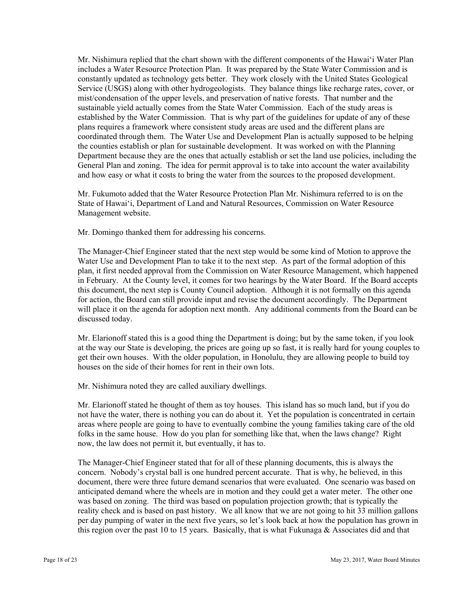and how easy or what it costs to bring the water from the sources to the proposed development. Mr. Fukumoto added that the Water Resource Protection Plan Mr. Nishimura referred to is on the Mr. Nishimura replied that the chart shown with the different components of the Hawai'i Water Plan includes a Water Resource Protection Plan. It was prepared by the State Water Commission and is constantly updated as technology gets better. They work closely with the United States Geological Service (USGS) along with other hydrogeologists. They balance things like recharge rates, cover, or mist/condensation of the upper levels, and preservation of native forests. That number and the sustainable yield actually comes from the State Water Commission. Each of the study areas is established by the Water Commission. That is why part of the guidelines for update of any of these plans requires a framework where consistent study areas are used and the different plans are coordinated through them. The Water Use and Development Plan is actually supposed to be helping the counties establish or plan for sustainable development. It was worked on with the Planning Department because they are the ones that actually establish or set the land use policies, including the General Plan and zoning. The idea for permit approval is to take into account the water availability

State of Hawai'i, Department of Land and Natural Resources, Commission on Water Resource Management website.

Mr. Domingo thanked them for addressing his concerns.

 will place it on the agenda for adoption next month. Any additional comments from the Board can be The Manager-Chief Engineer stated that the next step would be some kind of Motion to approve the Water Use and Development Plan to take it to the next step. As part of the formal adoption of this plan, it first needed approval from the Commission on Water Resource Management, which happened in February. At the County level, it comes for two hearings by the Water Board. If the Board accepts this document, the next step is County Council adoption. Although it is not formally on this agenda for action, the Board can still provide input and revise the document accordingly. The Department discussed today.

Mr. Elarionoff stated this is a good thing the Department is doing; but by the same token, if you look at the way our State is developing, the prices are going up so fast, it is really hard for young couples to get their own houses. With the older population, in Honolulu, they are allowing people to build toy houses on the side of their homes for rent in their own lots.

Mr. Nishimura noted they are called auxiliary dwellings.

Mr. Elarionoff stated he thought of them as toy houses. This island has so much land, but if you do not have the water, there is nothing you can do about it. Yet the population is concentrated in certain areas where people are going to have to eventually combine the young families taking care of the old folks in the same house. How do you plan for something like that, when the laws change? Right now, the law does not permit it, but eventually, it has to.

The Manager-Chief Engineer stated that for all of these planning documents, this is always the concern. Nobody's crystal ball is one hundred percent accurate. That is why, he believed, in this document, there were three future demand scenarios that were evaluated. One scenario was based on anticipated demand where the wheels are in motion and they could get a water meter. The other one was based on zoning. The third was based on population projection growth; that is typically the reality check and is based on past history. We all know that we are not going to hit 33 million gallons per day pumping of water in the next five years, so let's look back at how the population has grown in this region over the past 10 to 15 years. Basically, that is what Fukunaga & Associates did and that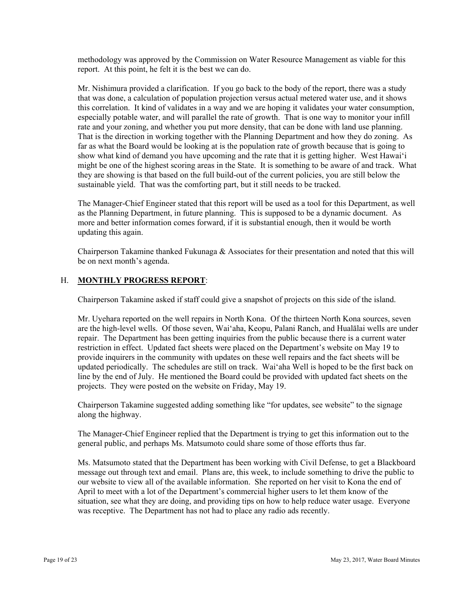methodology was approved by the Commission on Water Resource Management as viable for this report. At this point, he felt it is the best we can do.

Mr. Nishimura provided a clarification. If you go back to the body of the report, there was a study that was done, a calculation of population projection versus actual metered water use, and it shows this correlation. It kind of validates in a way and we are hoping it validates your water consumption, especially potable water, and will parallel the rate of growth. That is one way to monitor your infill rate and your zoning, and whether you put more density, that can be done with land use planning. That is the direction in working together with the Planning Department and how they do zoning. As far as what the Board would be looking at is the population rate of growth because that is going to show what kind of demand you have upcoming and the rate that it is getting higher. West Hawai'i might be one of the highest scoring areas in the State. It is something to be aware of and track. What they are showing is that based on the full build-out of the current policies, you are still below the sustainable yield. That was the comforting part, but it still needs to be tracked.

The Manager-Chief Engineer stated that this report will be used as a tool for this Department, as well as the Planning Department, in future planning. This is supposed to be a dynamic document. As more and better information comes forward, if it is substantial enough, then it would be worth updating this again.

Chairperson Takamine thanked Fukunaga  $\&$  Associates for their presentation and noted that this will be on next month's agenda.

# H. **MONTHLY PROGRESS REPORT**:

Chairperson Takamine asked if staff could give a snapshot of projects on this side of the island.

Mr. Uyehara reported on the well repairs in North Kona. Of the thirteen North Kona sources, seven are the high-level wells. Of those seven, Wai'aha, Keopu, Palani Ranch, and Hualālai wells are under repair. The Department has been getting inquiries from the public because there is a current water restriction in effect. Updated fact sheets were placed on the Department's website on May 19 to provide inquirers in the community with updates on these well repairs and the fact sheets will be updated periodically. The schedules are still on track. Wai'aha Well is hoped to be the first back on line by the end of July. He mentioned the Board could be provided with updated fact sheets on the projects. They were posted on the website on Friday, May 19.

Chairperson Takamine suggested adding something like "for updates, see website" to the signage along the highway.

The Manager-Chief Engineer replied that the Department is trying to get this information out to the general public, and perhaps Ms. Matsumoto could share some of those efforts thus far.

Ms. Matsumoto stated that the Department has been working with Civil Defense, to get a Blackboard message out through text and email. Plans are, this week, to include something to drive the public to our website to view all of the available information. She reported on her visit to Kona the end of April to meet with a lot of the Department's commercial higher users to let them know of the situation, see what they are doing, and providing tips on how to help reduce water usage. Everyone was receptive. The Department has not had to place any radio ads recently.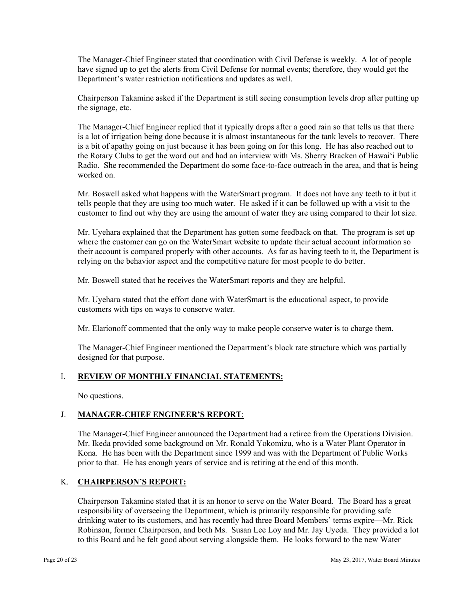The Manager-Chief Engineer stated that coordination with Civil Defense is weekly. A lot of people have signed up to get the alerts from Civil Defense for normal events; therefore, they would get the Department's water restriction notifications and updates as well.

Chairperson Takamine asked if the Department is still seeing consumption levels drop after putting up the signage, etc.

The Manager-Chief Engineer replied that it typically drops after a good rain so that tells us that there is a lot of irrigation being done because it is almost instantaneous for the tank levels to recover. There is a bit of apathy going on just because it has been going on for this long. He has also reached out to the Rotary Clubs to get the word out and had an interview with Ms. Sherry Bracken of Hawai'i Public Radio. She recommended the Department do some face-to-face outreach in the area, and that is being worked on.

Mr. Boswell asked what happens with the WaterSmart program. It does not have any teeth to it but it tells people that they are using too much water. He asked if it can be followed up with a visit to the customer to find out why they are using the amount of water they are using compared to their lot size.

Mr. Uyehara explained that the Department has gotten some feedback on that. The program is set up where the customer can go on the WaterSmart website to update their actual account information so their account is compared properly with other accounts. As far as having teeth to it, the Department is relying on the behavior aspect and the competitive nature for most people to do better.

Mr. Boswell stated that he receives the WaterSmart reports and they are helpful.

Mr. Uyehara stated that the effort done with WaterSmart is the educational aspect, to provide customers with tips on ways to conserve water.

Mr. Elarionoff commented that the only way to make people conserve water is to charge them.

The Manager-Chief Engineer mentioned the Department's block rate structure which was partially designed for that purpose.

## I. **REVIEW OF MONTHLY FINANCIAL STATEMENTS:**

No questions.

## J. **MANAGER-CHIEF ENGINEER'S REPORT**:

The Manager-Chief Engineer announced the Department had a retiree from the Operations Division. Mr. Ikeda provided some background on Mr. Ronald Yokomizu, who is a Water Plant Operator in Kona. He has been with the Department since 1999 and was with the Department of Public Works prior to that. He has enough years of service and is retiring at the end of this month.

# K. **CHAIRPERSON'S REPORT:**

Chairperson Takamine stated that it is an honor to serve on the Water Board. The Board has a great responsibility of overseeing the Department, which is primarily responsible for providing safe drinking water to its customers, and has recently had three Board Members' terms expire—Mr. Rick Robinson, former Chairperson, and both Ms. Susan Lee Loy and Mr. Jay Uyeda. They provided a lot to this Board and he felt good about serving alongside them. He looks forward to the new Water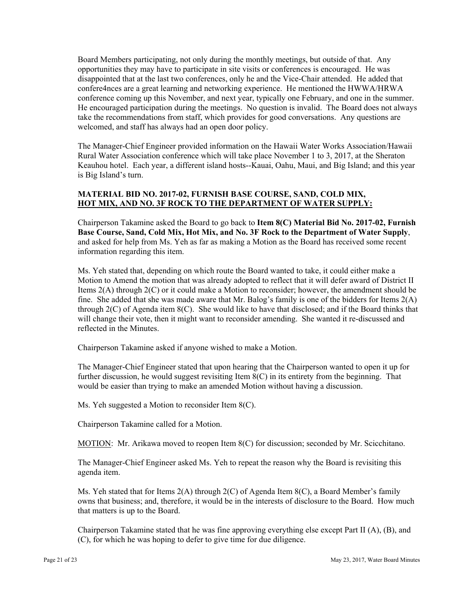Board Members participating, not only during the monthly meetings, but outside of that. Any opportunities they may have to participate in site visits or conferences is encouraged. He was disappointed that at the last two conferences, only he and the Vice-Chair attended. He added that confere4nces are a great learning and networking experience. He mentioned the HWWA/HRWA conference coming up this November, and next year, typically one February, and one in the summer. He encouraged participation during the meetings. No question is invalid. The Board does not always take the recommendations from staff, which provides for good conversations. Any questions are welcomed, and staff has always had an open door policy.

The Manager-Chief Engineer provided information on the Hawaii Water Works Association/Hawaii Rural Water Association conference which will take place November 1 to 3, 2017, at the Sheraton Keauhou hotel. Each year, a different island hosts--Kauai, Oahu, Maui, and Big Island; and this year is Big Island's turn.

# **MATERIAL BID NO. 2017-02, FURNISH BASE COURSE, SAND, COLD MIX, HOT MIX, AND NO. 3F ROCK TO THE DEPARTMENT OF WATER SUPPLY:**

Chairperson Takamine asked the Board to go back to **Item 8(C) Material Bid No. 2017-02, Furnish Base Course, Sand, Cold Mix, Hot Mix, and No. 3F Rock to the Department of Water Supply**, and asked for help from Ms. Yeh as far as making a Motion as the Board has received some recent information regarding this item.

Ms. Yeh stated that, depending on which route the Board wanted to take, it could either make a Motion to Amend the motion that was already adopted to reflect that it will defer award of District II Items 2(A) through 2(C) or it could make a Motion to reconsider; however, the amendment should be fine. She added that she was made aware that Mr. Balog's family is one of the bidders for Items  $2(A)$ through 2(C) of Agenda item 8(C). She would like to have that disclosed; and if the Board thinks that will change their vote, then it might want to reconsider amending. She wanted it re-discussed and reflected in the Minutes.

Chairperson Takamine asked if anyone wished to make a Motion.

The Manager-Chief Engineer stated that upon hearing that the Chairperson wanted to open it up for further discussion, he would suggest revisiting Item 8(C) in its entirety from the beginning. That would be easier than trying to make an amended Motion without having a discussion.

Ms. Yeh suggested a Motion to reconsider Item 8(C).

Chairperson Takamine called for a Motion.

MOTION: Mr. Arikawa moved to reopen Item 8(C) for discussion; seconded by Mr. Scicchitano.

The Manager-Chief Engineer asked Ms. Yeh to repeat the reason why the Board is revisiting this agenda item.

Ms. Yeh stated that for Items  $2(A)$  through  $2(C)$  of Agenda Item  $8(C)$ , a Board Member's family owns that business; and, therefore, it would be in the interests of disclosure to the Board. How much that matters is up to the Board.

Chairperson Takamine stated that he was fine approving everything else except Part II (A), (B), and (C), for which he was hoping to defer to give time for due diligence.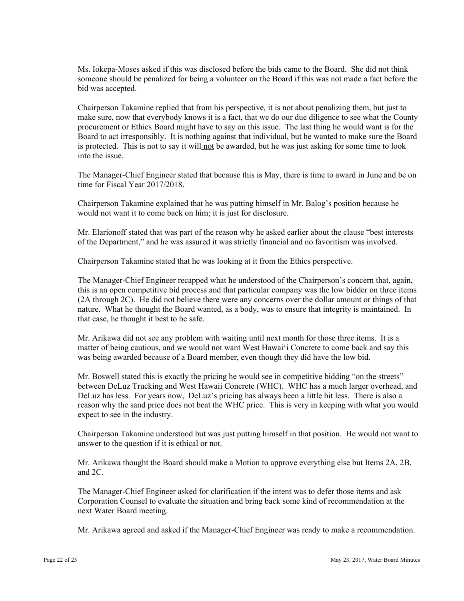Ms. Iokepa-Moses asked if this was disclosed before the bids came to the Board. She did not think someone should be penalized for being a volunteer on the Board if this was not made a fact before the bid was accepted.

Chairperson Takamine replied that from his perspective, it is not about penalizing them, but just to make sure, now that everybody knows it is a fact, that we do our due diligence to see what the County procurement or Ethics Board might have to say on this issue. The last thing he would want is for the Board to act irresponsibly. It is nothing against that individual, but he wanted to make sure the Board is protected. This is not to say it will not be awarded, but he was just asking for some time to look into the issue.

The Manager-Chief Engineer stated that because this is May, there is time to award in June and be on time for Fiscal Year 2017/2018.

Chairperson Takamine explained that he was putting himself in Mr. Balog's position because he would not want it to come back on him; it is just for disclosure.

Mr. Elarionoff stated that was part of the reason why he asked earlier about the clause "best interests of the Department," and he was assured it was strictly financial and no favoritism was involved.

Chairperson Takamine stated that he was looking at it from the Ethics perspective.

The Manager-Chief Engineer recapped what he understood of the Chairperson's concern that, again, this is an open competitive bid process and that particular company was the low bidder on three items (2A through 2C). He did not believe there were any concerns over the dollar amount or things of that nature. What he thought the Board wanted, as a body, was to ensure that integrity is maintained. In that case, he thought it best to be safe.

Mr. Arikawa did not see any problem with waiting until next month for those three items. It is a matter of being cautious, and we would not want West Hawai'i Concrete to come back and say this was being awarded because of a Board member, even though they did have the low bid.

Mr. Boswell stated this is exactly the pricing he would see in competitive bidding "on the streets" between DeLuz Trucking and West Hawaii Concrete (WHC). WHC has a much larger overhead, and DeLuz has less. For years now, DeLuz's pricing has always been a little bit less. There is also a reason why the sand price does not beat the WHC price. This is very in keeping with what you would expect to see in the industry.

Chairperson Takamine understood but was just putting himself in that position. He would not want to answer to the question if it is ethical or not.

Mr. Arikawa thought the Board should make a Motion to approve everything else but Items 2A, 2B, and 2C.

The Manager-Chief Engineer asked for clarification if the intent was to defer those items and ask Corporation Counsel to evaluate the situation and bring back some kind of recommendation at the next Water Board meeting.

Mr. Arikawa agreed and asked if the Manager-Chief Engineer was ready to make a recommendation.